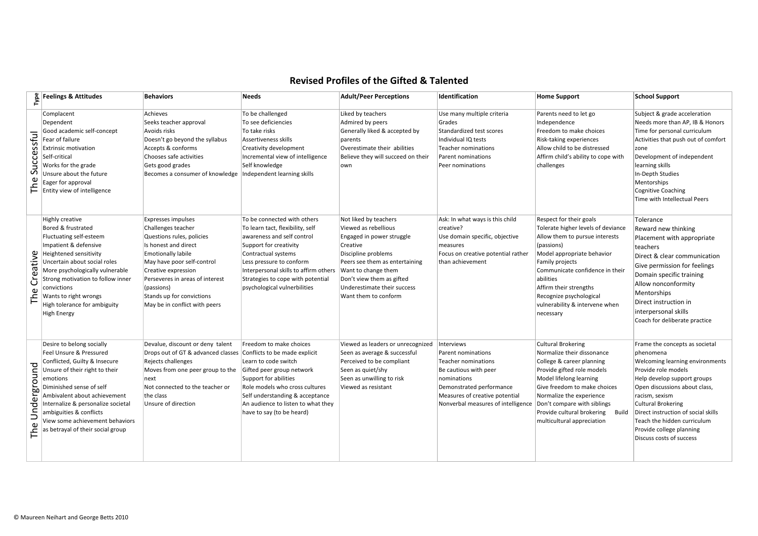## **Revised+Profiles+of+the+Gifted+&+Talented**

| Type               | <b>Feelings &amp; Attitudes</b>                                                                                                                                                                                                                                                                                                          | <b>Behaviors</b>                                                                                                                                                                                                                                                                                      | <b>Needs</b>                                                                                                                                                                                                                                                                                                 | <b>Adult/Peer Perceptions</b>                                                                                                                                                                                                       | <b>Identification</b>                                                                                                                                                                               | <b>Home Support</b>                                                                                                                                                                                                                                                                                                | <b>School Support</b>                                                                                                                                                                                                                                                                                                                              |
|--------------------|------------------------------------------------------------------------------------------------------------------------------------------------------------------------------------------------------------------------------------------------------------------------------------------------------------------------------------------|-------------------------------------------------------------------------------------------------------------------------------------------------------------------------------------------------------------------------------------------------------------------------------------------------------|--------------------------------------------------------------------------------------------------------------------------------------------------------------------------------------------------------------------------------------------------------------------------------------------------------------|-------------------------------------------------------------------------------------------------------------------------------------------------------------------------------------------------------------------------------------|-----------------------------------------------------------------------------------------------------------------------------------------------------------------------------------------------------|--------------------------------------------------------------------------------------------------------------------------------------------------------------------------------------------------------------------------------------------------------------------------------------------------------------------|----------------------------------------------------------------------------------------------------------------------------------------------------------------------------------------------------------------------------------------------------------------------------------------------------------------------------------------------------|
| Successful<br>The  | Complacent<br>Dependent<br>Good academic self-concept<br>Fear of failure<br><b>Extrinsic motivation</b><br>Self-critical<br>Works for the grade<br>Unsure about the future<br>Eager for approval<br>Entity view of intelligence                                                                                                          | Achieves<br>Seeks teacher approval<br>Avoids risks<br>Doesn't go beyond the syllabus<br>Accepts & conforms<br>Chooses safe activities<br>Gets good grades<br>Becomes a consumer of knowledge                                                                                                          | To be challenged<br>To see deficiencies<br>To take risks<br>Assertiveness skills<br>Creativity development<br>Incremental view of intelligence<br>Self knowledge<br>Independent learning skills                                                                                                              | Liked by teachers<br>Admired by peers<br>Generally liked & accepted by<br>parents<br>Overestimate their abilities<br>Believe they will succeed on their<br>own                                                                      | Use many multiple criteria<br>Grades<br>Standardized test scores<br>Individual IQ tests<br>Teacher nominations<br>Parent nominations<br>Peer nominations                                            | Parents need to let go<br>Independence<br>Freedom to make choices<br>Risk-taking experiences<br>Allow child to be distressed<br>Affirm child's ability to cope with<br>challenges                                                                                                                                  | Subject & grade acceleration<br>Needs more than AP, IB & Honors<br>Time for personal curriculum<br>Activities that push out of comfort<br>zone<br>Development of independent<br>learning skills<br>In-Depth Studies<br>Mentorships<br><b>Cognitive Coaching</b><br>Time with Intellectual Peers                                                    |
| Creative<br>The    | Highly creative<br>Bored & frustrated<br>Fluctuating self-esteem<br>Impatient & defensive<br>Heightened sensitivity<br>Uncertain about social roles<br>More psychologically vulnerable<br>Strong motivation to follow inner<br>convictions<br>Wants to right wrongs<br>High tolerance for ambiguity<br><b>High Energy</b>                | <b>Expresses impulses</b><br>Challenges teacher<br>Questions rules, policies<br>Is honest and direct<br><b>Emotionally labile</b><br>May have poor self-control<br>Creative expression<br>Perseveres in areas of interest<br>(passions)<br>Stands up for convictions<br>May be in conflict with peers | To be connected with others<br>To learn tact, flexibility, self<br>awareness and self control<br>Support for creativity<br>Contractual systems<br>Less pressure to conform<br>Interpersonal skills to affirm others Want to change them<br>Strategies to cope with potential<br>psychological vulnerbilities | Not liked by teachers<br>Viewed as rebellious<br>Engaged in power struggle<br>Creative<br>Discipline problems<br>Peers see them as entertaining<br>Don't view them as gifted<br>Underestimate their success<br>Want them to conform | Ask: In what ways is this child<br>creative?<br>Use domain specific, objective<br>measures<br>Focus on creative potential rather<br>than achievement                                                | Respect for their goals<br>Tolerate higher levels of deviance<br>Allow them to pursue interests<br>(passions)<br>Model appropriate behavior<br>Family projects<br>Communicate confidence in their<br>abilities<br>Affirm their strengths<br>Recognize psychological<br>vulnerability & intervene when<br>necessary | Tolerance<br>Reward new thinking<br>Placement with appropriate<br>teachers<br>Direct & clear communication<br>Give permission for feelings<br>Domain specific training<br>Allow nonconformity<br>Mentorships<br>Direct instruction in<br>interpersonal skills<br>Coach for deliberate practice                                                     |
| Underground<br>The | Desire to belong socially<br>Feel Unsure & Pressured<br>Conflicted, Guilty & Insecure<br>Unsure of their right to their<br>emotions<br>Diminished sense of self<br>Ambivalent about achievement<br>Internalize & personalize societal<br>ambiguities & conflicts<br>View some achievement behaviors<br>as betrayal of their social group | Devalue, discount or deny talent<br>Drops out of GT & advanced classes<br>Rejects challenges<br>Moves from one peer group to the<br>next<br>Not connected to the teacher or<br>the class<br>Unsure of direction                                                                                       | Freedom to make choices<br>Conflicts to be made explicit<br>Learn to code switch<br>Gifted peer group network<br>Support for abilities<br>Role models who cross cultures<br>Self understanding & acceptance<br>An audience to listen to what they<br>have to say (to be heard)                               | Viewed as leaders or unrecognized<br>Seen as average & successful<br>Perceived to be compliant<br>Seen as quiet/shy<br>Seen as unwilling to risk<br>Viewed as resistant                                                             | Interviews<br>Parent nominations<br>Teacher nominations<br>Be cautious with peer<br>nominations<br>Demonstrated performance<br>Measures of creative potential<br>Nonverbal measures of intelligence | <b>Cultural Brokering</b><br>Normalize their dissonance<br>College & career planning<br>Provide gifted role models<br>Model lifelong learning<br>Give freedom to make choices<br>Normalize the experience<br>Don't compare with siblings<br>Provide cultural brokering Build<br>multicultural appreciation         | Frame the concepts as societal<br>phenomena<br>Welcoming learning environments<br>Provide role models<br>Help develop support groups<br>Open discussions about class,<br>racism, sexism<br><b>Cultural Brokering</b><br>Direct instruction of social skills<br>Teach the hidden curriculum<br>Provide college planning<br>Discuss costs of success |